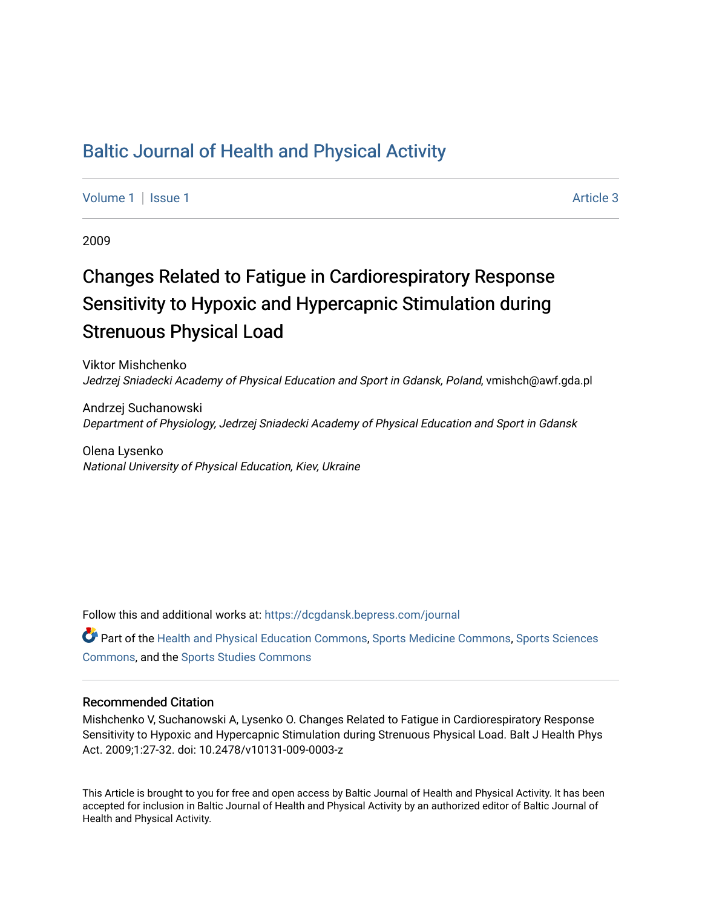## [Baltic Journal of Health and Physical Activity](https://dcgdansk.bepress.com/journal)

[Volume 1](https://dcgdansk.bepress.com/journal/vol1) | [Issue 1](https://dcgdansk.bepress.com/journal/vol1/iss1) Article 3

2009

# Changes Related to Fatigue in Cardiorespiratory Response Sensitivity to Hypoxic and Hypercapnic Stimulation during Strenuous Physical Load

Viktor Mishchenko Jedrzej Sniadecki Academy of Physical Education and Sport in Gdansk, Poland, vmishch@awf.gda.pl

Andrzej Suchanowski Department of Physiology, Jedrzej Sniadecki Academy of Physical Education and Sport in Gdansk

Olena Lysenko National University of Physical Education, Kiev, Ukraine

Follow this and additional works at: [https://dcgdansk.bepress.com/journal](https://dcgdansk.bepress.com/journal?utm_source=dcgdansk.bepress.com%2Fjournal%2Fvol1%2Fiss1%2F3&utm_medium=PDF&utm_campaign=PDFCoverPages)

Part of the [Health and Physical Education Commons](http://network.bepress.com/hgg/discipline/1327?utm_source=dcgdansk.bepress.com%2Fjournal%2Fvol1%2Fiss1%2F3&utm_medium=PDF&utm_campaign=PDFCoverPages), [Sports Medicine Commons,](http://network.bepress.com/hgg/discipline/1331?utm_source=dcgdansk.bepress.com%2Fjournal%2Fvol1%2Fiss1%2F3&utm_medium=PDF&utm_campaign=PDFCoverPages) [Sports Sciences](http://network.bepress.com/hgg/discipline/759?utm_source=dcgdansk.bepress.com%2Fjournal%2Fvol1%2Fiss1%2F3&utm_medium=PDF&utm_campaign=PDFCoverPages) [Commons](http://network.bepress.com/hgg/discipline/759?utm_source=dcgdansk.bepress.com%2Fjournal%2Fvol1%2Fiss1%2F3&utm_medium=PDF&utm_campaign=PDFCoverPages), and the [Sports Studies Commons](http://network.bepress.com/hgg/discipline/1198?utm_source=dcgdansk.bepress.com%2Fjournal%2Fvol1%2Fiss1%2F3&utm_medium=PDF&utm_campaign=PDFCoverPages) 

#### Recommended Citation

Mishchenko V, Suchanowski A, Lysenko O. Changes Related to Fatigue in Cardiorespiratory Response Sensitivity to Hypoxic and Hypercapnic Stimulation during Strenuous Physical Load. Balt J Health Phys Act. 2009;1:27-32. doi: 10.2478/v10131-009-0003-z

This Article is brought to you for free and open access by Baltic Journal of Health and Physical Activity. It has been accepted for inclusion in Baltic Journal of Health and Physical Activity by an authorized editor of Baltic Journal of Health and Physical Activity.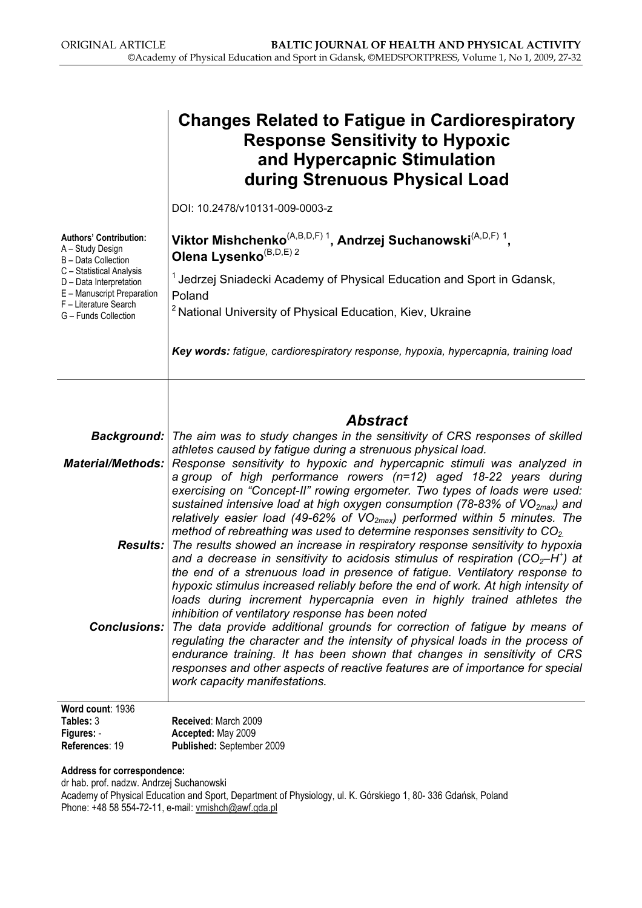|                                                                                                                                                                                                                | <b>Changes Related to Fatigue in Cardiorespiratory</b><br><b>Response Sensitivity to Hypoxic</b><br>and Hypercapnic Stimulation<br>during Strenuous Physical Load                                                                                                                                                                                                                                                                                                                                                                                                                                                                                                                                                                                                                                                                                                                                                                                                                                                                                                                          |
|----------------------------------------------------------------------------------------------------------------------------------------------------------------------------------------------------------------|--------------------------------------------------------------------------------------------------------------------------------------------------------------------------------------------------------------------------------------------------------------------------------------------------------------------------------------------------------------------------------------------------------------------------------------------------------------------------------------------------------------------------------------------------------------------------------------------------------------------------------------------------------------------------------------------------------------------------------------------------------------------------------------------------------------------------------------------------------------------------------------------------------------------------------------------------------------------------------------------------------------------------------------------------------------------------------------------|
|                                                                                                                                                                                                                | DOI: 10.2478/v10131-009-0003-z                                                                                                                                                                                                                                                                                                                                                                                                                                                                                                                                                                                                                                                                                                                                                                                                                                                                                                                                                                                                                                                             |
| <b>Authors' Contribution:</b><br>A - Study Design<br>B - Data Collection<br>C - Statistical Analysis<br>D - Data Interpretation<br>E - Manuscript Preparation<br>F - Literature Search<br>G - Funds Collection | Viktor Mishchenko $(A,B,D,F)$ <sup>1</sup> , Andrzej Suchanowski $(A,D,F)$ <sup>1</sup> ,<br>Olena Lysenko <sup>(B,D,E) 2</sup>                                                                                                                                                                                                                                                                                                                                                                                                                                                                                                                                                                                                                                                                                                                                                                                                                                                                                                                                                            |
|                                                                                                                                                                                                                | <sup>1</sup> Jedrzej Sniadecki Academy of Physical Education and Sport in Gdansk,                                                                                                                                                                                                                                                                                                                                                                                                                                                                                                                                                                                                                                                                                                                                                                                                                                                                                                                                                                                                          |
|                                                                                                                                                                                                                | Poland<br><sup>2</sup> National University of Physical Education, Kiev, Ukraine                                                                                                                                                                                                                                                                                                                                                                                                                                                                                                                                                                                                                                                                                                                                                                                                                                                                                                                                                                                                            |
|                                                                                                                                                                                                                | Key words: fatigue, cardiorespiratory response, hypoxia, hypercapnia, training load                                                                                                                                                                                                                                                                                                                                                                                                                                                                                                                                                                                                                                                                                                                                                                                                                                                                                                                                                                                                        |
|                                                                                                                                                                                                                | <b>Abstract</b>                                                                                                                                                                                                                                                                                                                                                                                                                                                                                                                                                                                                                                                                                                                                                                                                                                                                                                                                                                                                                                                                            |
| Background:                                                                                                                                                                                                    | The aim was to study changes in the sensitivity of CRS responses of skilled                                                                                                                                                                                                                                                                                                                                                                                                                                                                                                                                                                                                                                                                                                                                                                                                                                                                                                                                                                                                                |
| <b>Material/Methods:</b>                                                                                                                                                                                       | athletes caused by fatigue during a strenuous physical load.<br>Response sensitivity to hypoxic and hypercapnic stimuli was analyzed in<br>a group of high performance rowers $(n=12)$ aged 18-22 years during                                                                                                                                                                                                                                                                                                                                                                                                                                                                                                                                                                                                                                                                                                                                                                                                                                                                             |
| <b>Conclusions:</b>                                                                                                                                                                                            | exercising on "Concept-II" rowing ergometer. Two types of loads were used:<br>sustained intensive load at high oxygen consumption (78-83% of $VO_{2max}$ ) and<br>relatively easier load (49-62% of $VO_{2max}$ ) performed within 5 minutes. The<br>method of rebreathing was used to determine responses sensitivity to $CO2$ .<br><b>Results:</b> The results showed an increase in respiratory response sensitivity to hypoxia<br>and a decrease in sensitivity to acidosis stimulus of respiration (CO <sub>2</sub> -H <sup>+</sup> ) at<br>the end of a strenuous load in presence of fatigue. Ventilatory response to<br>hypoxic stimulus increased reliably before the end of work. At high intensity of<br>loads during increment hypercapnia even in highly trained athletes the<br>inhibition of ventilatory response has been noted<br>The data provide additional grounds for correction of fatigue by means of<br>regulating the character and the intensity of physical loads in the process of<br>endurance training. It has been shown that changes in sensitivity of CRS |
|                                                                                                                                                                                                                | responses and other aspects of reactive features are of importance for special<br>work capacity manifestations.                                                                                                                                                                                                                                                                                                                                                                                                                                                                                                                                                                                                                                                                                                                                                                                                                                                                                                                                                                            |
| Word count: 1936                                                                                                                                                                                               |                                                                                                                                                                                                                                                                                                                                                                                                                                                                                                                                                                                                                                                                                                                                                                                                                                                                                                                                                                                                                                                                                            |
| Tables: 3                                                                                                                                                                                                      | Received: March 2009                                                                                                                                                                                                                                                                                                                                                                                                                                                                                                                                                                                                                                                                                                                                                                                                                                                                                                                                                                                                                                                                       |
| Figures: -<br>References: 19                                                                                                                                                                                   | Accepted: May 2009<br>Published: September 2009                                                                                                                                                                                                                                                                                                                                                                                                                                                                                                                                                                                                                                                                                                                                                                                                                                                                                                                                                                                                                                            |

Address for correspondence:

dr hab. prof. nadzw. Andrzej Suchanowski Academy of Physical Education and Sport, Department of Physiology, ul. K. Górskiego 1, 80- 336 Gdańsk, Poland Phone: +48 58 554-72-11, e-mail: vmishch@awf.gda.pl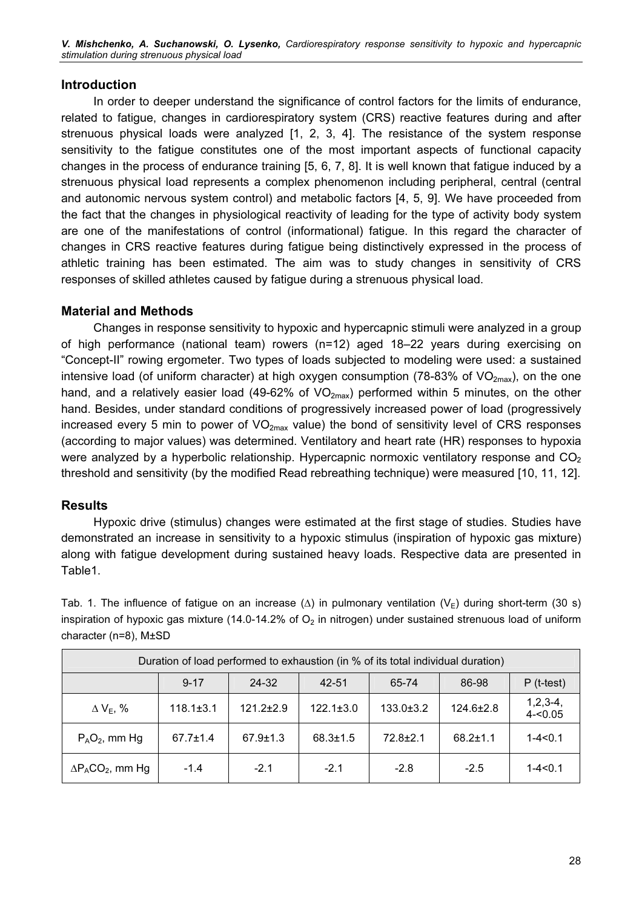#### Introduction

In order to deeper understand the significance of control factors for the limits of endurance, related to fatigue, changes in cardiorespiratory system (CRS) reactive features during and after strenuous physical loads were analyzed [1, 2, 3, 4]. The resistance of the system response sensitivity to the fatigue constitutes one of the most important aspects of functional capacity changes in the process of endurance training [5, 6, 7, 8]. It is well known that fatigue induced by a strenuous physical load represents a complex phenomenon including peripheral, central (central and autonomic nervous system control) and metabolic factors [4, 5, 9]. We have proceeded from the fact that the changes in physiological reactivity of leading for the type of activity body system are one of the manifestations of control (informational) fatigue. In this regard the character of changes in CRS reactive features during fatigue being distinctively expressed in the process of athletic training has been estimated. The aim was to study changes in sensitivity of CRS responses of skilled athletes caused by fatigue during a strenuous physical load.

#### Material and Methods

Changes in response sensitivity to hypoxic and hypercapnic stimuli were analyzed in a group of high performance (national team) rowers (n=12) aged 18–22 years during exercising on "Concept-II" rowing ergometer. Two types of loads subjected to modeling were used: a sustained intensive load (of uniform character) at high oxygen consumption (78-83% of  $VO<sub>2max</sub>$ ), on the one hand, and a relatively easier load (49-62% of  $VO_{2max}$ ) performed within 5 minutes, on the other hand. Besides, under standard conditions of progressively increased power of load (progressively increased every 5 min to power of  $VO<sub>2max</sub>$  value) the bond of sensitivity level of CRS responses (according to major values) was determined. Ventilatory and heart rate (HR) responses to hypoxia were analyzed by a hyperbolic relationship. Hypercapnic normoxic ventilatory response and  $CO<sub>2</sub>$ threshold and sensitivity (by the modified Read rebreathing technique) were measured [10, 11, 12].

### Results

Hypoxic drive (stimulus) changes were estimated at the first stage of studies. Studies have demonstrated an increase in sensitivity to a hypoxic stimulus (inspiration of hypoxic gas mixture) along with fatigue development during sustained heavy loads. Respective data are presented in Table1.

Tab. 1. The influence of fatigue on an increase ( $\Delta$ ) in pulmonary ventilation (V<sub>E</sub>) during short-term (30 s) inspiration of hypoxic gas mixture (14.0-14.2% of  $O<sub>2</sub>$  in nitrogen) under sustained strenuous load of uniform character (n=8), М±SD

| Duration of load performed to exhaustion (in % of its total individual duration) |                 |                 |                 |                 |                 |                          |
|----------------------------------------------------------------------------------|-----------------|-----------------|-----------------|-----------------|-----------------|--------------------------|
|                                                                                  | $9 - 17$        | 24-32           | 42-51           | 65-74           | 86-98           | $P$ (t-test)             |
| $\Delta$ V <sub>E</sub> , %                                                      | $118.1 \pm 3.1$ | $121.2 \pm 2.9$ | $122.1 \pm 3.0$ | $133.0 \pm 3.2$ | $124.6 \pm 2.8$ | $1,2,3-4,$<br>$4 - 0.05$ |
| $P_AO_2$ , mm Hg                                                                 | $67.7 \pm 1.4$  | $67.9 \pm 1.3$  | $68.3 \pm 1.5$  | $72.8 + 2.1$    | $68.2 \pm 1.1$  | $1 - 4 < 0.1$            |
| $\Delta P_{A}CO_{2}$ , mm Hg                                                     | $-1.4$          | $-2.1$          | $-2.1$          | $-2.8$          | $-2.5$          | $1 - 4 < 0.1$            |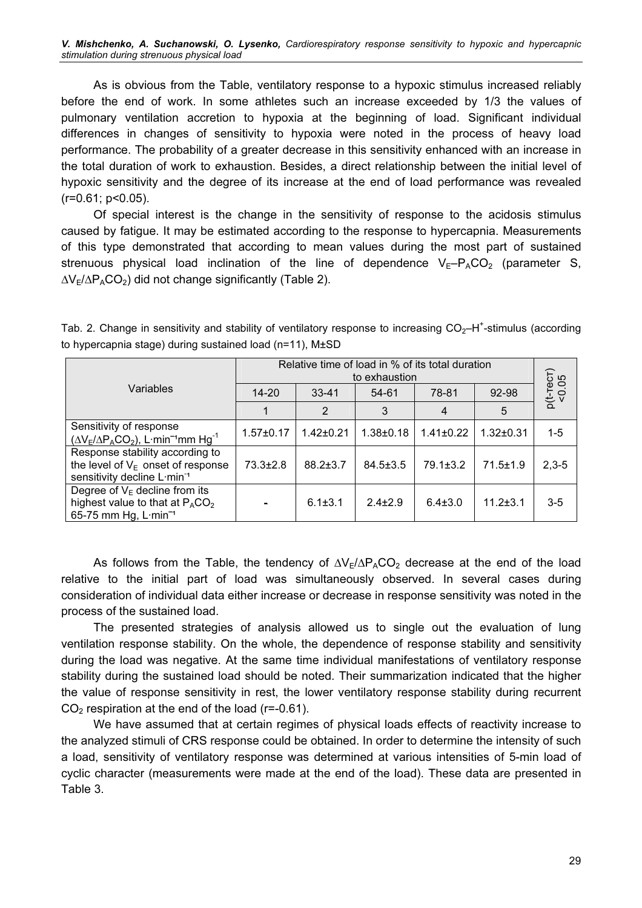As is obvious from the Table, ventilatory response to a hypoxic stimulus increased reliably before the end of work. In some athletes such an increase exceeded by 1/3 the values of pulmonary ventilation accretion to hypoxia at the beginning of load. Significant individual differences in changes of sensitivity to hypoxia were noted in the process of heavy load performance. The probability of a greater decrease in this sensitivity enhanced with an increase in the total duration of work to exhaustion. Besides, a direct relationship between the initial level of hypoxic sensitivity and the degree of its increase at the end of load performance was revealed  $(r=0.61; p<0.05)$ .

Of special interest is the change in the sensitivity of response to the acidosis stimulus caused by fatigue. It may be estimated according to the response to hypercapnia. Measurements of this type demonstrated that according to mean values during the most part of sustained strenuous physical load inclination of the line of dependence  $V_E-P_ACO_2$  (parameter S,  $\Delta V_E/\Delta P_A CO_2$ ) did not change significantly (Table 2).

|                                                                                                                    | Relative time of load in % of its total duration<br>to exhaustion |                 |                |                 |                |                       |  |
|--------------------------------------------------------------------------------------------------------------------|-------------------------------------------------------------------|-----------------|----------------|-----------------|----------------|-----------------------|--|
| Variables                                                                                                          | $14 - 20$                                                         | $33 - 41$       | 54-61          | 78-81           | 92-98          | $p(t$ -тест)<br><0.05 |  |
|                                                                                                                    |                                                                   | 2               | 3              | 4               | 5              |                       |  |
| Sensitivity of response<br>$(\Delta V_E/\Delta P_A CO_2)$ , L·min <sup>-1</sup> mm Hg <sup>-1</sup>                | $1.57 + 0.17$                                                     | $1.42 \pm 0.21$ | $1.38 + 0.18$  | $1.41 \pm 0.22$ | $1.32 + 0.31$  | $1-5$                 |  |
| Response stability according to<br>the level of $V_E$ onset of response<br>sensitivity decline L min <sup>-1</sup> | $73.3 + 2.8$                                                      | $88.2 \pm 3.7$  | $84.5 \pm 3.5$ | $79.1 \pm 3.2$  | $71.5 \pm 1.9$ | $2,3-5$               |  |
| Degree of $V_E$ decline from its<br>highest value to that at $P_{A}CO_{2}$<br>65-75 mm Hg, L·min <sup>-1</sup>     |                                                                   | $6.1 \pm 3.1$   | $2.4 + 2.9$    | $6.4 \pm 3.0$   | $11.2 \pm 3.1$ | $3-5$                 |  |

Tab. 2. Change in sensitivity and stability of ventilatory response to increasing  $CO_2$ -H<sup>+</sup>-stimulus (according to hypercapnia stage) during sustained load (n=11), М±SD

As follows from the Table, the tendency of  $\Delta V_F/\Delta P_A CO_2$  decrease at the end of the load relative to the initial part of load was simultaneously observed. In several cases during consideration of individual data either increase or decrease in response sensitivity was noted in the process of the sustained load.

The presented strategies of analysis allowed us to single out the evaluation of lung ventilation response stability. On the whole, the dependence of response stability and sensitivity during the load was negative. At the same time individual manifestations of ventilatory response stability during the sustained load should be noted. Their summarization indicated that the higher the value of response sensitivity in rest, the lower ventilatory response stability during recurrent  $CO<sub>2</sub>$  respiration at the end of the load (r=-0.61).

We have assumed that at certain regimes of physical loads effects of reactivity increase to the analyzed stimuli of CRS response could be obtained. In order to determine the intensity of such a load, sensitivity of ventilatory response was determined at various intensities of 5-min load of cyclic character (measurements were made at the end of the load). These data are presented in Table 3.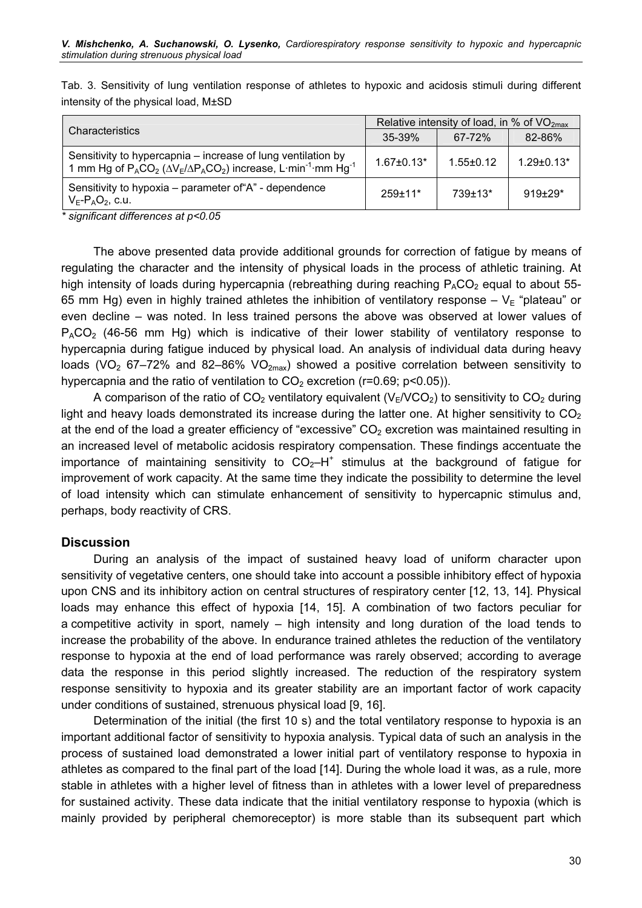|                                                                                                                                                                                   | Relative intensity of load, in % of $VO2max$ |                 |                |  |
|-----------------------------------------------------------------------------------------------------------------------------------------------------------------------------------|----------------------------------------------|-----------------|----------------|--|
| <b>Characteristics</b>                                                                                                                                                            | $35-39%$                                     | $67 - 72%$      | 82-86%         |  |
| Sensitivity to hypercapnia – increase of lung ventilation by<br>1 mm Hg of $P_{A}CO_{2}$ ( $\Delta V_{E}/\Delta P_{A}CO_{2}$ ) increase, L·min <sup>-1</sup> ·mm Hg <sup>-1</sup> | $1.67 \pm 0.13*$                             | $1.55 \pm 0.12$ | $1.29 + 0.13*$ |  |
| Sensitivity to hypoxia – parameter of "A" - dependence<br>$V_F$ - $P_AO_2$ , c.u.                                                                                                 | $259+11*$                                    | $739+13*$       | $919+29*$      |  |

Tab. 3. Sensitivity of lung ventilation response of athletes to hypoxic and acidosis stimuli during different intensity of the physical load, М±SD

\* significant differences at p<0.05

The above presented data provide additional grounds for correction of fatigue by means of regulating the character and the intensity of physical loads in the process of athletic training. At high intensity of loads during hypercapnia (rebreathing during reaching  $P_ACO_2$  equal to about 55-65 mm Hg) even in highly trained athletes the inhibition of ventilatory response –  $V_E$  "plateau" or even decline – was noted. In less trained persons the above was observed at lower values of  $P_ACO_2$  (46-56 mm Hg) which is indicative of their lower stability of ventilatory response to hypercapnia during fatigue induced by physical load. An analysis of individual data during heavy loads (VO<sub>2</sub> 67–72% and 82–86% VO<sub>2max</sub>) showed a positive correlation between sensitivity to hypercapnia and the ratio of ventilation to  $CO<sub>2</sub>$  excretion (r=0.69; p<0.05)).

A comparison of the ratio of  $CO<sub>2</sub>$  ventilatory equivalent (V<sub>E</sub>/VCO<sub>2</sub>) to sensitivity to  $CO<sub>2</sub>$  during light and heavy loads demonstrated its increase during the latter one. At higher sensitivity to  $CO<sub>2</sub>$ at the end of the load a greater efficiency of "excessive"  $CO<sub>2</sub>$  excretion was maintained resulting in an increased level of metabolic acidosis respiratory compensation. These findings accentuate the importance of maintaining sensitivity to  $CO_2$ -H<sup>+</sup> stimulus at the background of fatigue for improvement of work capacity. At the same time they indicate the possibility to determine the level of load intensity which can stimulate enhancement of sensitivity to hypercapnic stimulus and, perhaps, body reactivity of CRS.

#### **Discussion**

During an analysis of the impact of sustained heavy load of uniform character upon sensitivity of vegetative centers, one should take into account a possible inhibitory effect of hypoxia upon CNS and its inhibitory action on central structures of respiratory center [12, 13, 14]. Physical loads may enhance this effect of hypoxia [14, 15]. A combination of two factors peculiar for a competitive activity in sport, namely – high intensity and long duration of the load tends to increase the probability of the above. In endurance trained athletes the reduction of the ventilatory response to hypoxia at the end of load performance was rarely observed; according to average data the response in this period slightly increased. The reduction of the respiratory system response sensitivity to hypoxia and its greater stability are an important factor of work capacity under conditions of sustained, strenuous physical load [9, 16].

Determination of the initial (the first 10 s) and the total ventilatory response to hypoxia is an important additional factor of sensitivity to hypoxia analysis. Typical data of such an analysis in the process of sustained load demonstrated a lower initial part of ventilatory response to hypoxia in athletes as compared to the final part of the load [14]. During the whole load it was, as a rule, more stable in athletes with a higher level of fitness than in athletes with a lower level of preparedness for sustained activity. These data indicate that the initial ventilatory response to hypoxia (which is mainly provided by peripheral chemoreceptor) is more stable than its subsequent part which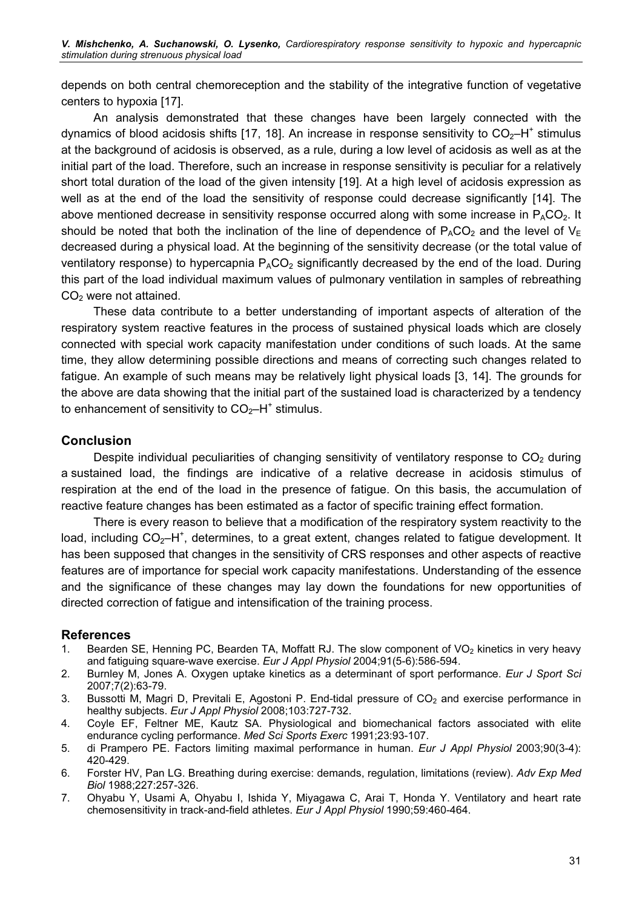depends on both central chemoreception and the stability of the integrative function of vegetative centers to hypoxia [17].

An analysis demonstrated that these changes have been largely connected with the dynamics of blood acidosis shifts [17, 18]. An increase in response sensitivity to  $CO<sub>2</sub>$ –H<sup>+</sup> stimulus at the background of acidosis is observed, as a rule, during a low level of acidosis as well as at the initial part of the load. Therefore, such an increase in response sensitivity is peculiar for a relatively short total duration of the load of the given intensity [19]. At a high level of acidosis expression as well as at the end of the load the sensitivity of response could decrease significantly [14]. The above mentioned decrease in sensitivity response occurred along with some increase in  $P_ACO_2$ . It should be noted that both the inclination of the line of dependence of  $P_ACO_2$  and the level of  $V_F$ decreased during a physical load. At the beginning of the sensitivity decrease (or the total value of ventilatory response) to hypercapnia  $P_ACO_2$  significantly decreased by the end of the load. During this part of the load individual maximum values of pulmonary ventilation in samples of rebreathing CO<sub>2</sub> were not attained.

These data contribute to a better understanding of important aspects of alteration of the respiratory system reactive features in the process of sustained physical loads which are closely connected with special work capacity manifestation under conditions of such loads. At the same time, they allow determining possible directions and means of correcting such changes related to fatigue. An example of such means may be relatively light physical loads [3, 14]. The grounds for the above are data showing that the initial part of the sustained load is characterized by a tendency to enhancement of sensitivity to  $CO<sub>2</sub>-H<sup>+</sup>$  stimulus.

#### Conclusion

Despite individual peculiarities of changing sensitivity of ventilatory response to  $CO<sub>2</sub>$  during a sustained load, the findings are indicative of a relative decrease in acidosis stimulus of respiration at the end of the load in the presence of fatigue. On this basis, the accumulation of reactive feature changes has been estimated as a factor of specific training effect formation.

There is every reason to believe that a modification of the respiratory system reactivity to the load, including  $CO_2$ -H<sup>+</sup>, determines, to a great extent, changes related to fatigue development. It has been supposed that changes in the sensitivity of CRS responses and other aspects of reactive features are of importance for special work capacity manifestations. Understanding of the essence and the significance of these changes may lay down the foundations for new opportunities of directed correction of fatigue and intensification of the training process.

#### References

- 1. Bearden SE, Henning PC, Bearden TA, Moffatt RJ. The slow component of VO<sub>2</sub> kinetics in very heavy and fatiguing square-wave exercise. Eur J Appl Physiol 2004;91(5-6):586-594.
- 2. Burnley M, Jones A. Oxygen uptake kinetics as a determinant of sport performance. Eur J Sport Sci 2007;7(2):63-79.
- 3. Bussotti M, Magri D, Previtali E, Agostoni P. End-tidal pressure of  $CO<sub>2</sub>$  and exercise performance in healthy subjects. Eur J Appl Physiol 2008;103:727-732.
- 4. Coyle EF, Feltner ME, Kautz SA. Physiological and biomechanical factors associated with elite endurance cycling performance. Med Sci Sports Exerc 1991;23:93-107.
- 5. di Prampero PE. Factors limiting maximal performance in human. Eur J Appl Physiol 2003;90(3-4): 420-429.
- 6. Forster HV, Pan LG. Breathing during exercise: demands, regulation, limitations (review). Adv Exp Med Biol 1988;227:257-326.
- 7. Ohyabu Y, Usami A, Ohyabu I, Ishida Y, Miyagawa C, Arai T, Honda Y. Ventilatory and heart rate chemosensitivity in track-and-field athletes. Eur J Appl Physiol 1990;59:460-464.